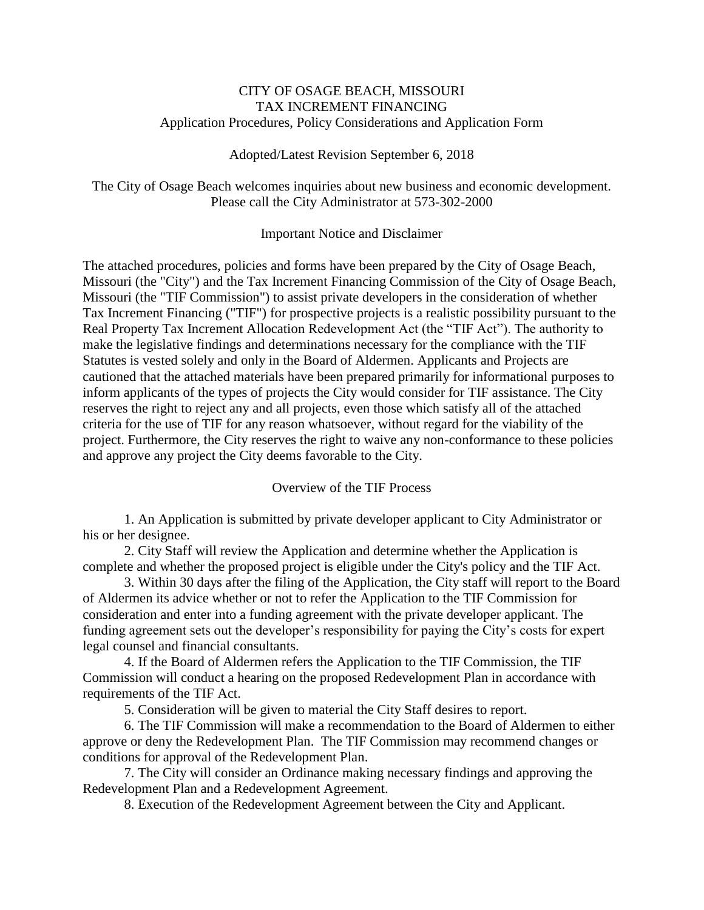# CITY OF OSAGE BEACH, MISSOURI TAX INCREMENT FINANCING Application Procedures, Policy Considerations and Application Form

### Adopted/Latest Revision September 6, 2018

The City of Osage Beach welcomes inquiries about new business and economic development. Please call the City Administrator at 573-302-2000

# Important Notice and Disclaimer

The attached procedures, policies and forms have been prepared by the City of Osage Beach, Missouri (the "City") and the Tax Increment Financing Commission of the City of Osage Beach, Missouri (the "TIF Commission") to assist private developers in the consideration of whether Tax Increment Financing ("TIF") for prospective projects is a realistic possibility pursuant to the Real Property Tax Increment Allocation Redevelopment Act (the "TIF Act"). The authority to make the legislative findings and determinations necessary for the compliance with the TIF Statutes is vested solely and only in the Board of Aldermen. Applicants and Projects are cautioned that the attached materials have been prepared primarily for informational purposes to inform applicants of the types of projects the City would consider for TIF assistance. The City reserves the right to reject any and all projects, even those which satisfy all of the attached criteria for the use of TIF for any reason whatsoever, without regard for the viability of the project. Furthermore, the City reserves the right to waive any non-conformance to these policies and approve any project the City deems favorable to the City.

# Overview of the TIF Process

1. An Application is submitted by private developer applicant to City Administrator or his or her designee.

2. City Staff will review the Application and determine whether the Application is complete and whether the proposed project is eligible under the City's policy and the TIF Act.

3. Within 30 days after the filing of the Application, the City staff will report to the Board of Aldermen its advice whether or not to refer the Application to the TIF Commission for consideration and enter into a funding agreement with the private developer applicant. The funding agreement sets out the developer's responsibility for paying the City's costs for expert legal counsel and financial consultants.

4. If the Board of Aldermen refers the Application to the TIF Commission, the TIF Commission will conduct a hearing on the proposed Redevelopment Plan in accordance with requirements of the TIF Act.

5. Consideration will be given to material the City Staff desires to report.

6. The TIF Commission will make a recommendation to the Board of Aldermen to either approve or deny the Redevelopment Plan. The TIF Commission may recommend changes or conditions for approval of the Redevelopment Plan.

7. The City will consider an Ordinance making necessary findings and approving the Redevelopment Plan and a Redevelopment Agreement.

8. Execution of the Redevelopment Agreement between the City and Applicant.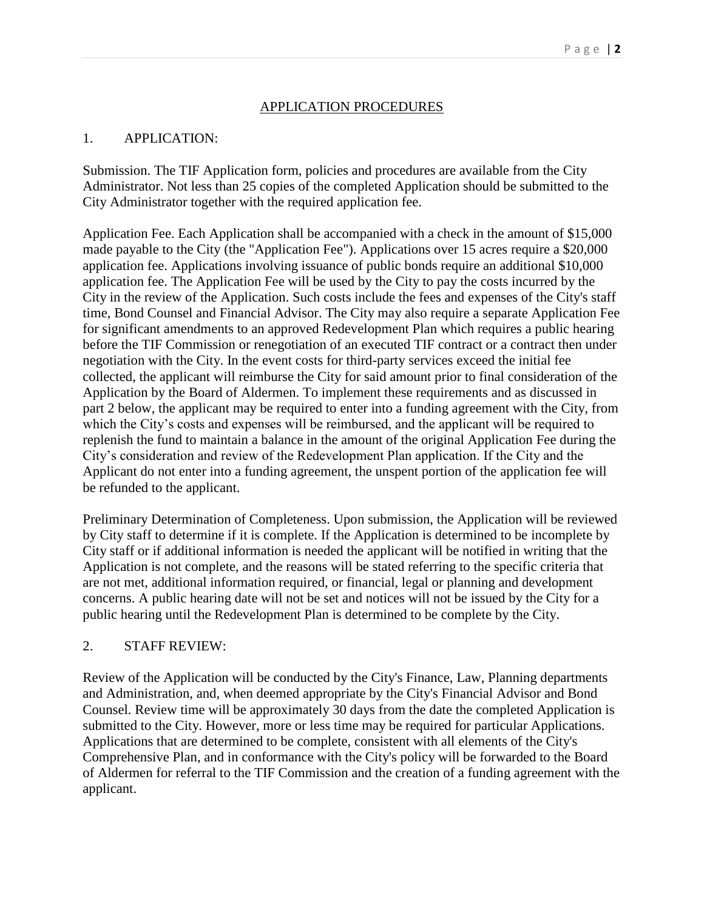# APPLICATION PROCEDURES

# 1. APPLICATION:

Submission. The TIF Application form, policies and procedures are available from the City Administrator. Not less than 25 copies of the completed Application should be submitted to the City Administrator together with the required application fee.

Application Fee. Each Application shall be accompanied with a check in the amount of \$15,000 made payable to the City (the "Application Fee"). Applications over 15 acres require a \$20,000 application fee. Applications involving issuance of public bonds require an additional \$10,000 application fee. The Application Fee will be used by the City to pay the costs incurred by the City in the review of the Application. Such costs include the fees and expenses of the City's staff time, Bond Counsel and Financial Advisor. The City may also require a separate Application Fee for significant amendments to an approved Redevelopment Plan which requires a public hearing before the TIF Commission or renegotiation of an executed TIF contract or a contract then under negotiation with the City. In the event costs for third-party services exceed the initial fee collected, the applicant will reimburse the City for said amount prior to final consideration of the Application by the Board of Aldermen. To implement these requirements and as discussed in part 2 below, the applicant may be required to enter into a funding agreement with the City, from which the City's costs and expenses will be reimbursed, and the applicant will be required to replenish the fund to maintain a balance in the amount of the original Application Fee during the City's consideration and review of the Redevelopment Plan application. If the City and the Applicant do not enter into a funding agreement, the unspent portion of the application fee will be refunded to the applicant.

Preliminary Determination of Completeness. Upon submission, the Application will be reviewed by City staff to determine if it is complete. If the Application is determined to be incomplete by City staff or if additional information is needed the applicant will be notified in writing that the Application is not complete, and the reasons will be stated referring to the specific criteria that are not met, additional information required, or financial, legal or planning and development concerns. A public hearing date will not be set and notices will not be issued by the City for a public hearing until the Redevelopment Plan is determined to be complete by the City.

# 2. STAFF REVIEW:

Review of the Application will be conducted by the City's Finance, Law, Planning departments and Administration, and, when deemed appropriate by the City's Financial Advisor and Bond Counsel. Review time will be approximately 30 days from the date the completed Application is submitted to the City. However, more or less time may be required for particular Applications. Applications that are determined to be complete, consistent with all elements of the City's Comprehensive Plan, and in conformance with the City's policy will be forwarded to the Board of Aldermen for referral to the TIF Commission and the creation of a funding agreement with the applicant.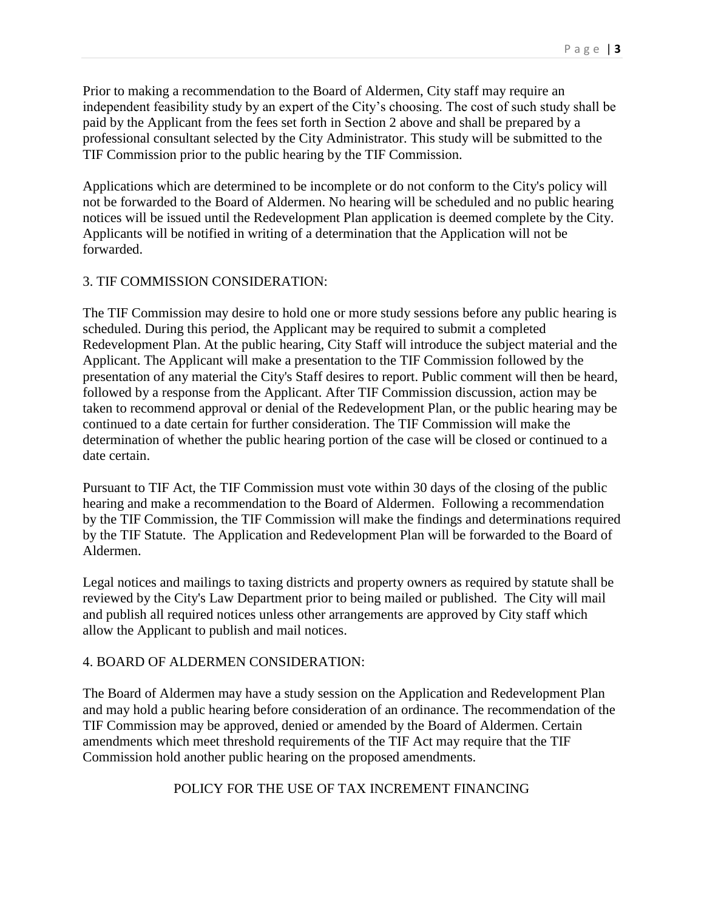Prior to making a recommendation to the Board of Aldermen, City staff may require an independent feasibility study by an expert of the City's choosing. The cost of such study shall be paid by the Applicant from the fees set forth in Section 2 above and shall be prepared by a professional consultant selected by the City Administrator. This study will be submitted to the TIF Commission prior to the public hearing by the TIF Commission.

Applications which are determined to be incomplete or do not conform to the City's policy will not be forwarded to the Board of Aldermen. No hearing will be scheduled and no public hearing notices will be issued until the Redevelopment Plan application is deemed complete by the City. Applicants will be notified in writing of a determination that the Application will not be forwarded.

### 3. TIF COMMISSION CONSIDERATION:

The TIF Commission may desire to hold one or more study sessions before any public hearing is scheduled. During this period, the Applicant may be required to submit a completed Redevelopment Plan. At the public hearing, City Staff will introduce the subject material and the Applicant. The Applicant will make a presentation to the TIF Commission followed by the presentation of any material the City's Staff desires to report. Public comment will then be heard, followed by a response from the Applicant. After TIF Commission discussion, action may be taken to recommend approval or denial of the Redevelopment Plan, or the public hearing may be continued to a date certain for further consideration. The TIF Commission will make the determination of whether the public hearing portion of the case will be closed or continued to a date certain.

Pursuant to TIF Act, the TIF Commission must vote within 30 days of the closing of the public hearing and make a recommendation to the Board of Aldermen. Following a recommendation by the TIF Commission, the TIF Commission will make the findings and determinations required by the TIF Statute. The Application and Redevelopment Plan will be forwarded to the Board of Aldermen.

Legal notices and mailings to taxing districts and property owners as required by statute shall be reviewed by the City's Law Department prior to being mailed or published. The City will mail and publish all required notices unless other arrangements are approved by City staff which allow the Applicant to publish and mail notices.

# 4. BOARD OF ALDERMEN CONSIDERATION:

The Board of Aldermen may have a study session on the Application and Redevelopment Plan and may hold a public hearing before consideration of an ordinance. The recommendation of the TIF Commission may be approved, denied or amended by the Board of Aldermen. Certain amendments which meet threshold requirements of the TIF Act may require that the TIF Commission hold another public hearing on the proposed amendments.

# POLICY FOR THE USE OF TAX INCREMENT FINANCING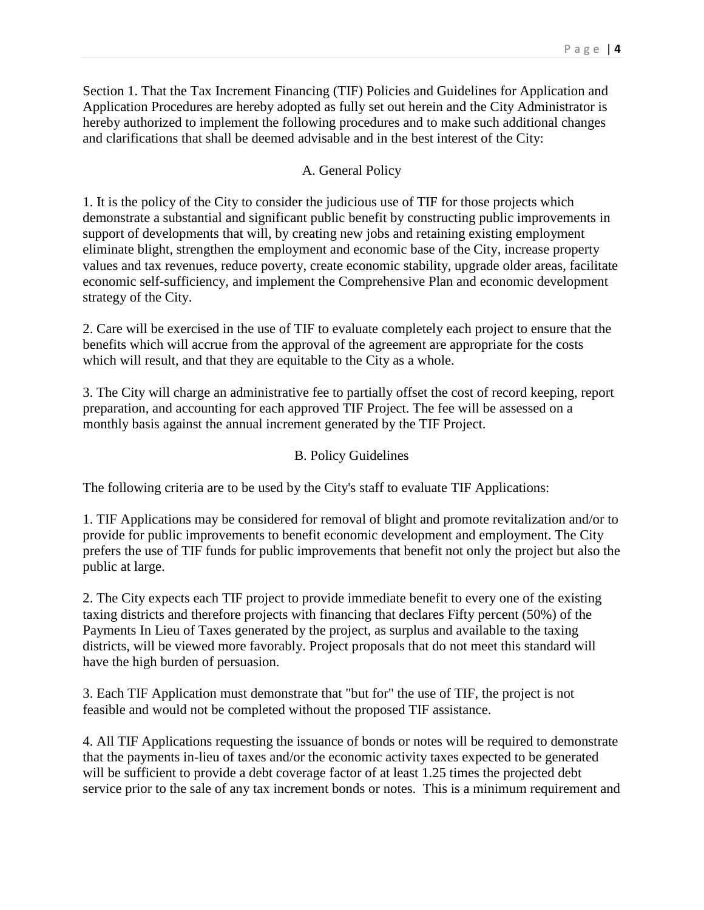Section 1. That the Tax Increment Financing (TIF) Policies and Guidelines for Application and Application Procedures are hereby adopted as fully set out herein and the City Administrator is hereby authorized to implement the following procedures and to make such additional changes and clarifications that shall be deemed advisable and in the best interest of the City:

# A. General Policy

1. It is the policy of the City to consider the judicious use of TIF for those projects which demonstrate a substantial and significant public benefit by constructing public improvements in support of developments that will, by creating new jobs and retaining existing employment eliminate blight, strengthen the employment and economic base of the City, increase property values and tax revenues, reduce poverty, create economic stability, upgrade older areas, facilitate economic self-sufficiency, and implement the Comprehensive Plan and economic development strategy of the City.

2. Care will be exercised in the use of TIF to evaluate completely each project to ensure that the benefits which will accrue from the approval of the agreement are appropriate for the costs which will result, and that they are equitable to the City as a whole.

3. The City will charge an administrative fee to partially offset the cost of record keeping, report preparation, and accounting for each approved TIF Project. The fee will be assessed on a monthly basis against the annual increment generated by the TIF Project.

# B. Policy Guidelines

The following criteria are to be used by the City's staff to evaluate TIF Applications:

1. TIF Applications may be considered for removal of blight and promote revitalization and/or to provide for public improvements to benefit economic development and employment. The City prefers the use of TIF funds for public improvements that benefit not only the project but also the public at large.

2. The City expects each TIF project to provide immediate benefit to every one of the existing taxing districts and therefore projects with financing that declares Fifty percent (50%) of the Payments In Lieu of Taxes generated by the project, as surplus and available to the taxing districts, will be viewed more favorably. Project proposals that do not meet this standard will have the high burden of persuasion.

3. Each TIF Application must demonstrate that "but for" the use of TIF, the project is not feasible and would not be completed without the proposed TIF assistance.

4. All TIF Applications requesting the issuance of bonds or notes will be required to demonstrate that the payments in-lieu of taxes and/or the economic activity taxes expected to be generated will be sufficient to provide a debt coverage factor of at least 1.25 times the projected debt service prior to the sale of any tax increment bonds or notes. This is a minimum requirement and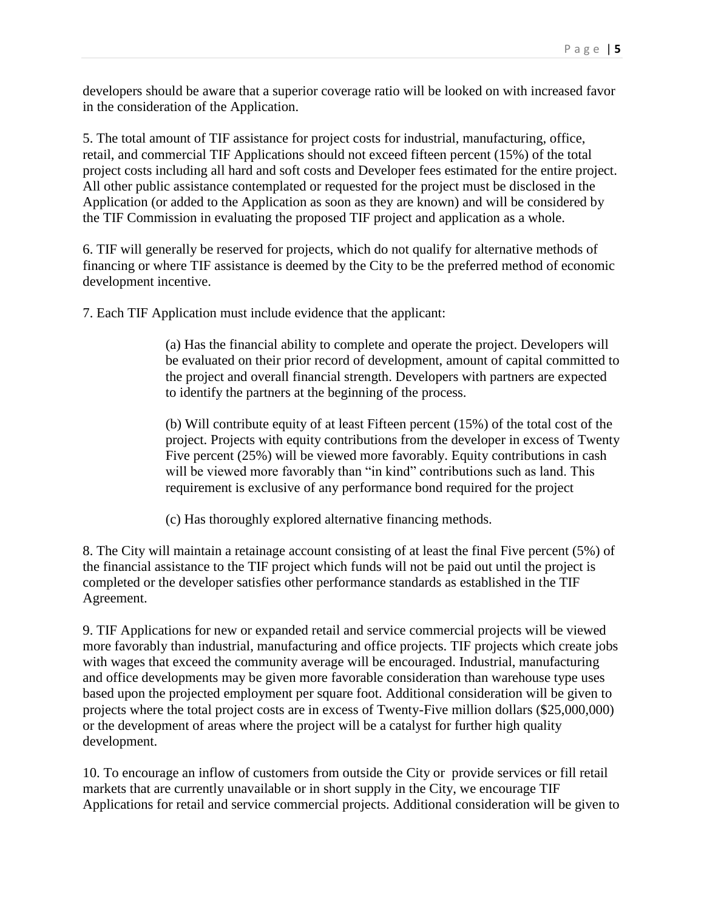developers should be aware that a superior coverage ratio will be looked on with increased favor in the consideration of the Application.

5. The total amount of TIF assistance for project costs for industrial, manufacturing, office, retail, and commercial TIF Applications should not exceed fifteen percent (15%) of the total project costs including all hard and soft costs and Developer fees estimated for the entire project. All other public assistance contemplated or requested for the project must be disclosed in the Application (or added to the Application as soon as they are known) and will be considered by the TIF Commission in evaluating the proposed TIF project and application as a whole.

6. TIF will generally be reserved for projects, which do not qualify for alternative methods of financing or where TIF assistance is deemed by the City to be the preferred method of economic development incentive.

7. Each TIF Application must include evidence that the applicant:

(a) Has the financial ability to complete and operate the project. Developers will be evaluated on their prior record of development, amount of capital committed to the project and overall financial strength. Developers with partners are expected to identify the partners at the beginning of the process.

(b) Will contribute equity of at least Fifteen percent (15%) of the total cost of the project. Projects with equity contributions from the developer in excess of Twenty Five percent (25%) will be viewed more favorably. Equity contributions in cash will be viewed more favorably than "in kind" contributions such as land. This requirement is exclusive of any performance bond required for the project

(c) Has thoroughly explored alternative financing methods.

8. The City will maintain a retainage account consisting of at least the final Five percent (5%) of the financial assistance to the TIF project which funds will not be paid out until the project is completed or the developer satisfies other performance standards as established in the TIF Agreement.

9. TIF Applications for new or expanded retail and service commercial projects will be viewed more favorably than industrial, manufacturing and office projects. TIF projects which create jobs with wages that exceed the community average will be encouraged. Industrial, manufacturing and office developments may be given more favorable consideration than warehouse type uses based upon the projected employment per square foot. Additional consideration will be given to projects where the total project costs are in excess of Twenty-Five million dollars (\$25,000,000) or the development of areas where the project will be a catalyst for further high quality development.

10. To encourage an inflow of customers from outside the City or provide services or fill retail markets that are currently unavailable or in short supply in the City, we encourage TIF Applications for retail and service commercial projects. Additional consideration will be given to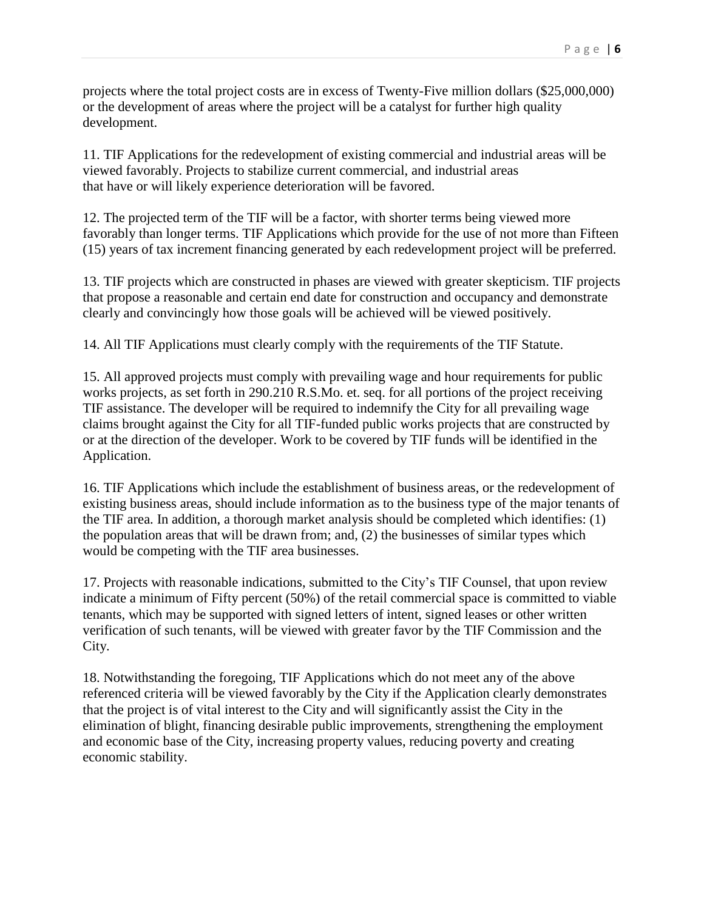projects where the total project costs are in excess of Twenty-Five million dollars (\$25,000,000) or the development of areas where the project will be a catalyst for further high quality development.

11. TIF Applications for the redevelopment of existing commercial and industrial areas will be viewed favorably. Projects to stabilize current commercial, and industrial areas that have or will likely experience deterioration will be favored.

12. The projected term of the TIF will be a factor, with shorter terms being viewed more favorably than longer terms. TIF Applications which provide for the use of not more than Fifteen (15) years of tax increment financing generated by each redevelopment project will be preferred.

13. TIF projects which are constructed in phases are viewed with greater skepticism. TIF projects that propose a reasonable and certain end date for construction and occupancy and demonstrate clearly and convincingly how those goals will be achieved will be viewed positively.

14. All TIF Applications must clearly comply with the requirements of the TIF Statute.

15. All approved projects must comply with prevailing wage and hour requirements for public works projects, as set forth in 290.210 R.S.Mo. et. seq. for all portions of the project receiving TIF assistance. The developer will be required to indemnify the City for all prevailing wage claims brought against the City for all TIF-funded public works projects that are constructed by or at the direction of the developer. Work to be covered by TIF funds will be identified in the Application.

16. TIF Applications which include the establishment of business areas, or the redevelopment of existing business areas, should include information as to the business type of the major tenants of the TIF area. In addition, a thorough market analysis should be completed which identifies: (1) the population areas that will be drawn from; and, (2) the businesses of similar types which would be competing with the TIF area businesses.

17. Projects with reasonable indications, submitted to the City's TIF Counsel, that upon review indicate a minimum of Fifty percent (50%) of the retail commercial space is committed to viable tenants, which may be supported with signed letters of intent, signed leases or other written verification of such tenants, will be viewed with greater favor by the TIF Commission and the City.

18. Notwithstanding the foregoing, TIF Applications which do not meet any of the above referenced criteria will be viewed favorably by the City if the Application clearly demonstrates that the project is of vital interest to the City and will significantly assist the City in the elimination of blight, financing desirable public improvements, strengthening the employment and economic base of the City, increasing property values, reducing poverty and creating economic stability.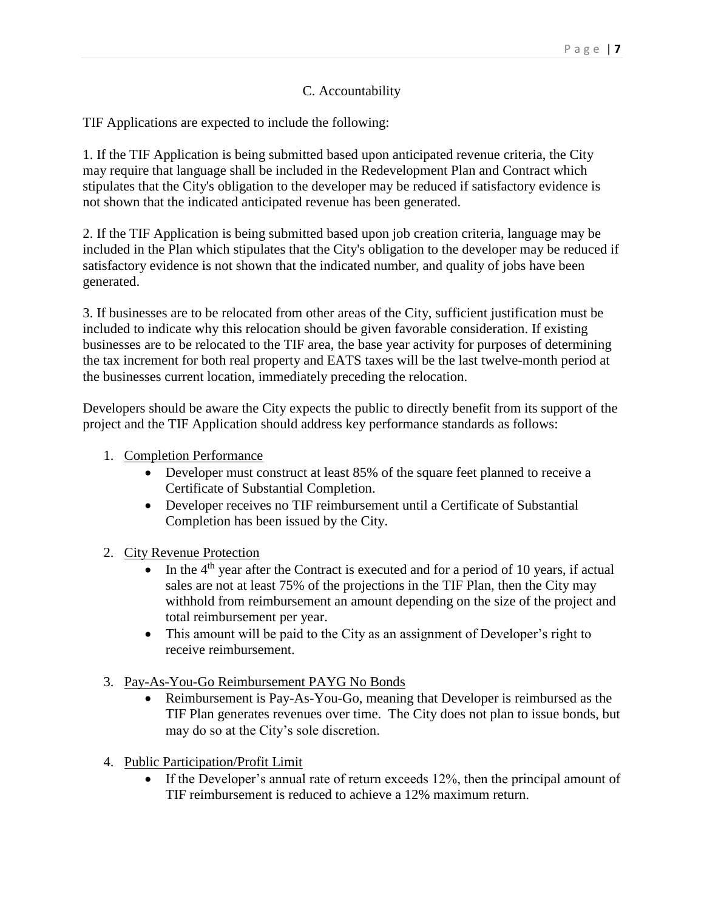# C. Accountability

TIF Applications are expected to include the following:

1. If the TIF Application is being submitted based upon anticipated revenue criteria, the City may require that language shall be included in the Redevelopment Plan and Contract which stipulates that the City's obligation to the developer may be reduced if satisfactory evidence is not shown that the indicated anticipated revenue has been generated.

2. If the TIF Application is being submitted based upon job creation criteria, language may be included in the Plan which stipulates that the City's obligation to the developer may be reduced if satisfactory evidence is not shown that the indicated number, and quality of jobs have been generated.

3. If businesses are to be relocated from other areas of the City, sufficient justification must be included to indicate why this relocation should be given favorable consideration. If existing businesses are to be relocated to the TIF area, the base year activity for purposes of determining the tax increment for both real property and EATS taxes will be the last twelve-month period at the businesses current location, immediately preceding the relocation.

Developers should be aware the City expects the public to directly benefit from its support of the project and the TIF Application should address key performance standards as follows:

- 1. Completion Performance
	- Developer must construct at least 85% of the square feet planned to receive a Certificate of Substantial Completion.
	- Developer receives no TIF reimbursement until a Certificate of Substantial Completion has been issued by the City.
- 2. City Revenue Protection
	- In the  $4<sup>th</sup>$  year after the Contract is executed and for a period of 10 years, if actual sales are not at least 75% of the projections in the TIF Plan, then the City may withhold from reimbursement an amount depending on the size of the project and total reimbursement per year.
	- This amount will be paid to the City as an assignment of Developer's right to receive reimbursement.
- 3. Pay-As-You-Go Reimbursement PAYG No Bonds
	- Reimbursement is Pay-As-You-Go, meaning that Developer is reimbursed as the TIF Plan generates revenues over time. The City does not plan to issue bonds, but may do so at the City's sole discretion.
- 4. Public Participation/Profit Limit
	- If the Developer's annual rate of return exceeds 12%, then the principal amount of TIF reimbursement is reduced to achieve a 12% maximum return.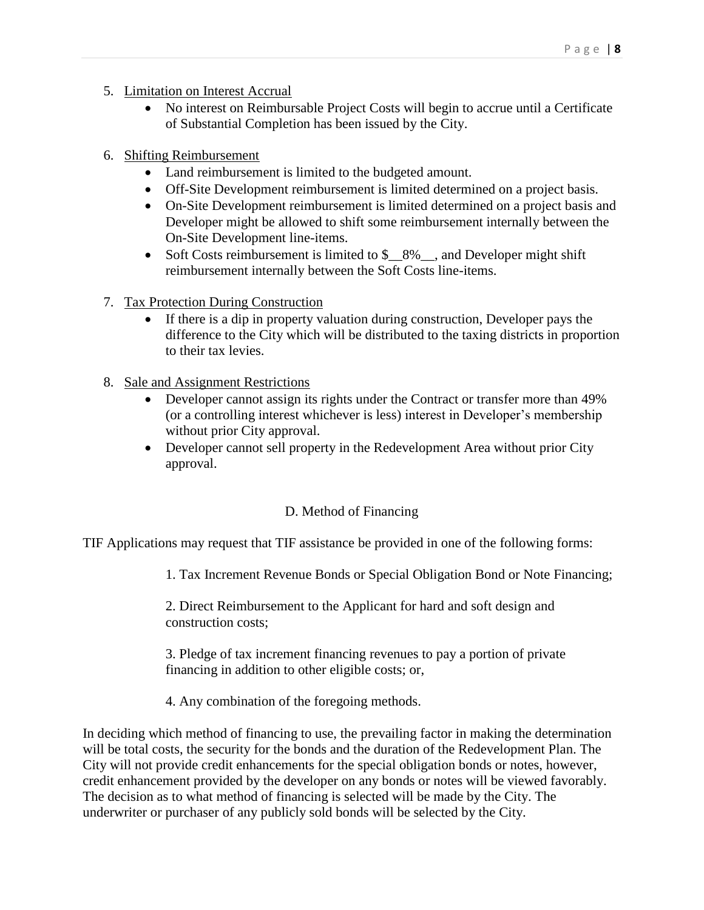- 5. Limitation on Interest Accrual
	- No interest on Reimbursable Project Costs will begin to accrue until a Certificate of Substantial Completion has been issued by the City.
- 6. Shifting Reimbursement
	- Land reimbursement is limited to the budgeted amount.
	- Off-Site Development reimbursement is limited determined on a project basis.
	- On-Site Development reimbursement is limited determined on a project basis and Developer might be allowed to shift some reimbursement internally between the On-Site Development line-items.
	- Soft Costs reimbursement is limited to  $\frac{1}{2}$  8% and Developer might shift reimbursement internally between the Soft Costs line-items.
- 7. Tax Protection During Construction
	- If there is a dip in property valuation during construction, Developer pays the difference to the City which will be distributed to the taxing districts in proportion to their tax levies.
- 8. Sale and Assignment Restrictions
	- Developer cannot assign its rights under the Contract or transfer more than 49% (or a controlling interest whichever is less) interest in Developer's membership without prior City approval.
	- Developer cannot sell property in the Redevelopment Area without prior City approval.

# D. Method of Financing

TIF Applications may request that TIF assistance be provided in one of the following forms:

1. Tax Increment Revenue Bonds or Special Obligation Bond or Note Financing;

2. Direct Reimbursement to the Applicant for hard and soft design and construction costs;

3. Pledge of tax increment financing revenues to pay a portion of private financing in addition to other eligible costs; or,

4. Any combination of the foregoing methods.

In deciding which method of financing to use, the prevailing factor in making the determination will be total costs, the security for the bonds and the duration of the Redevelopment Plan. The City will not provide credit enhancements for the special obligation bonds or notes, however, credit enhancement provided by the developer on any bonds or notes will be viewed favorably. The decision as to what method of financing is selected will be made by the City. The underwriter or purchaser of any publicly sold bonds will be selected by the City.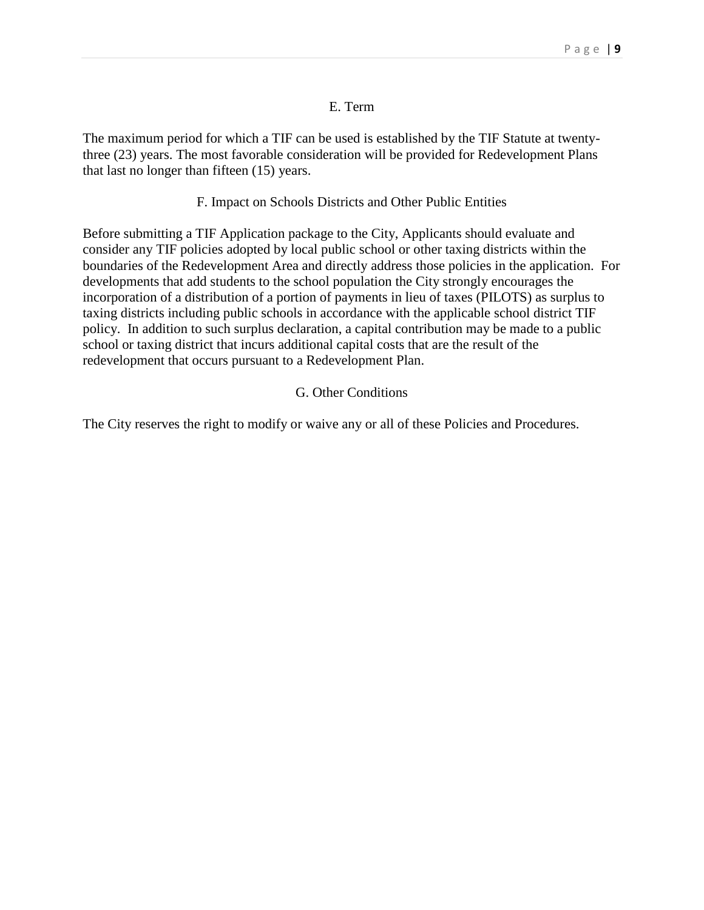### E. Term

The maximum period for which a TIF can be used is established by the TIF Statute at twentythree (23) years. The most favorable consideration will be provided for Redevelopment Plans that last no longer than fifteen (15) years.

### F. Impact on Schools Districts and Other Public Entities

Before submitting a TIF Application package to the City, Applicants should evaluate and consider any TIF policies adopted by local public school or other taxing districts within the boundaries of the Redevelopment Area and directly address those policies in the application. For developments that add students to the school population the City strongly encourages the incorporation of a distribution of a portion of payments in lieu of taxes (PILOTS) as surplus to taxing districts including public schools in accordance with the applicable school district TIF policy. In addition to such surplus declaration, a capital contribution may be made to a public school or taxing district that incurs additional capital costs that are the result of the redevelopment that occurs pursuant to a Redevelopment Plan.

# G. Other Conditions

The City reserves the right to modify or waive any or all of these Policies and Procedures.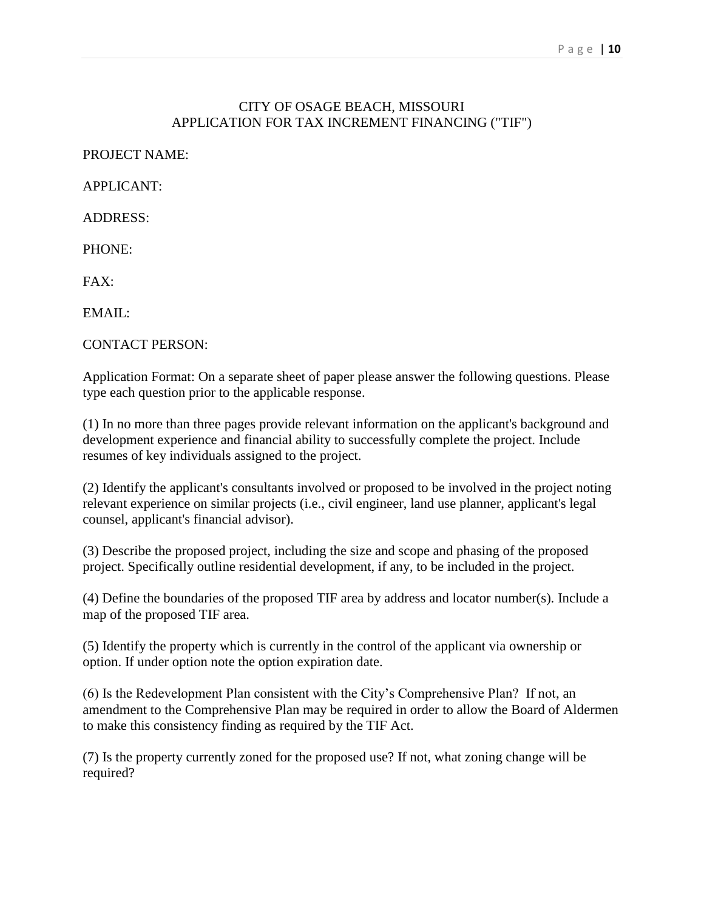#### P a g e | **10**

# CITY OF OSAGE BEACH, MISSOURI APPLICATION FOR TAX INCREMENT FINANCING ("TIF")

PROJECT NAME:

APPLICANT:

ADDRESS:

PHONE:

FAX:

EMAIL:

CONTACT PERSON:

Application Format: On a separate sheet of paper please answer the following questions. Please type each question prior to the applicable response.

(1) In no more than three pages provide relevant information on the applicant's background and development experience and financial ability to successfully complete the project. Include resumes of key individuals assigned to the project.

(2) Identify the applicant's consultants involved or proposed to be involved in the project noting relevant experience on similar projects (i.e., civil engineer, land use planner, applicant's legal counsel, applicant's financial advisor).

(3) Describe the proposed project, including the size and scope and phasing of the proposed project. Specifically outline residential development, if any, to be included in the project.

(4) Define the boundaries of the proposed TIF area by address and locator number(s). Include a map of the proposed TIF area.

(5) Identify the property which is currently in the control of the applicant via ownership or option. If under option note the option expiration date.

(6) Is the Redevelopment Plan consistent with the City's Comprehensive Plan? If not, an amendment to the Comprehensive Plan may be required in order to allow the Board of Aldermen to make this consistency finding as required by the TIF Act.

(7) Is the property currently zoned for the proposed use? If not, what zoning change will be required?